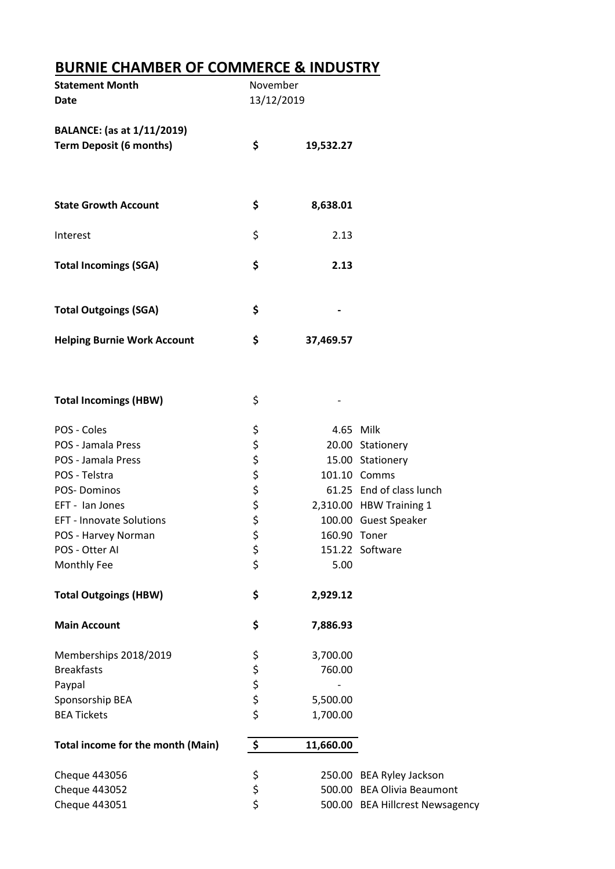## **BURNIE CHAMBER OF COMMERCE & INDUSTRY**

| \$<br>19,532.27                            |                                 |
|--------------------------------------------|---------------------------------|
| \$<br>8,638.01                             |                                 |
| \$<br>2.13                                 |                                 |
| \$<br>2.13                                 |                                 |
| \$                                         |                                 |
| \$<br>37,469.57                            |                                 |
| \$                                         |                                 |
|                                            | 4.65 Milk                       |
|                                            | 20.00 Stationery                |
|                                            | 15.00 Stationery                |
|                                            | 101.10 Comms                    |
|                                            | 61.25 End of class lunch        |
|                                            | 2,310.00 HBW Training 1         |
|                                            | 100.00 Guest Speaker            |
| 160.90 Toner                               |                                 |
|                                            | 151.22 Software                 |
| 5.00                                       |                                 |
| \$<br>2,929.12                             |                                 |
| \$<br>7,886.93                             |                                 |
| 3,700.00                                   |                                 |
| 760.00                                     |                                 |
|                                            |                                 |
| 5,500.00                                   |                                 |
| 1,700.00                                   |                                 |
| \$<br>11,660.00                            |                                 |
|                                            | 250.00 BEA Ryley Jackson        |
|                                            | 500.00 BEA Olivia Beaumont      |
|                                            | 500.00 BEA Hillcrest Newsagency |
| ぐぐぐらぐ<br>\$<br>\$<br>やなみ<br>\$<br>\$<br>\$ | November<br>13/12/2019          |